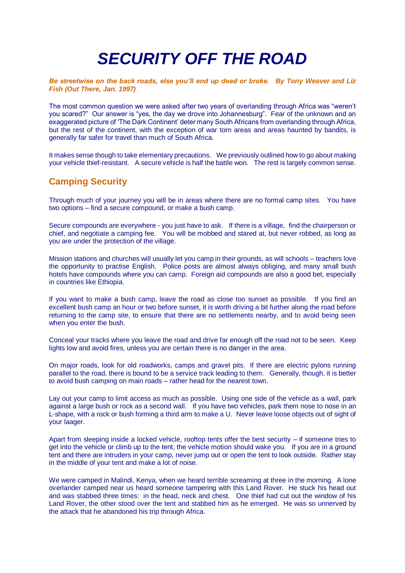# *SECURITY OFF THE ROAD*

*Be streetwise on the back roads, else you'll end up dead or broke. By Tony Weaver and Liz Fish (Out There, Jan. 1997)*

The most common question we were asked after two years of overlanding through Africa was "weren't you scared?" Our answer is "yes, the day we drove into Johannesburg". Fear of the unknown and an exaggerated picture of 'The Dark Continent' deter many South Africans from overlanding through Africa, but the rest of the continent, with the exception of war torn areas and areas haunted by bandits, is generally far safer for travel than much of South Africa.

It makes sense though to take elementary precautions. We previously outlined how to go about making your vehicle thief-resistant. A secure vehicle is half the battle won. The rest is largely common sense.

## **Camping Security**

Through much of your journey you will be in areas where there are no formal camp sites. You have two options – find a secure compound, or make a bush camp.

Secure compounds are everywhere - you just have to ask. If there is a village, find the chairperson or chief, and negotiate a camping fee. You will be mobbed and stared at, but never robbed, as long as you are under the protection of the village.

Mission stations and churches will usually let you camp in their grounds, as will schools – teachers love the opportunity to practise English. Police posts are almost always obliging, and many small bush hotels have compounds where you can camp. Foreign aid compounds are also a good bet, especially in countries like Ethiopia.

If you want to make a bush camp, leave the road as close too sunset as possible. If you find an excellent bush camp an hour or two before sunset, it is worth driving a bit further along the road before returning to the camp site, to ensure that there are no settlements nearby, and to avoid being seen when you enter the bush.

Conceal your tracks where you leave the road and drive far enough off the road not to be seen. Keep lights low and avoid fires, unless you are certain there is no danger in the area.

On major roads, look for old roadworks, camps and gravel pits. If there are electric pylons running parallel to the road, there is bound to be a service track leading to them. Generally, though, it is better to avoid bush camping on main roads – rather head for the nearest town.

Lay out your camp to limit access as much as possible. Using one side of the vehicle as a wall, park against a large bush or rock as a second wall. If you have two vehicles, park them nose to nose in an L-shape, with a rock or bush forming a third arm to make a U. Never leave loose objects out of sight of your laager.

Apart from sleeping inside a locked vehicle, rooftop tents offer the best security – if someone tries to get into the vehicle or climb up to the tent, the vehicle motion should wake you. If you are in a ground tent and there are intruders in your camp, never jump out or open the tent to look outside. Rather stay in the middle of your tent and make a lot of noise.

We were camped in Malindi, Kenya, when we heard terrible screaming at three in the morning. A lone overlander camped near us heard someone tampering with this Land Rover. He stuck his head out and was stabbed three times: in the head, neck and chest. One thief had cut out the window of his Land Rover, the other stood over the tent and stabbed him as he emerged. He was so unnerved by the attack that he abandoned his trip through Africa.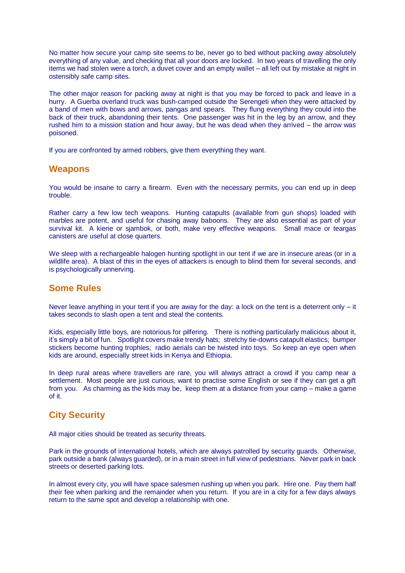No matter how secure your camp site seems to be, never go to bed without packing away absolutely everything of any value, and checking that all your doors are locked. In two years of travelling the only items we had stolen were a torch, a duvet cover and an empty wallet – all left out by mistake at night in ostensibly safe camp sites.

The other major reason for packing away at night is that you may be forced to pack and leave in a hurry. A Guerba overland truck was bush-camped outside the Serengeti when they were attacked by a band of men with bows and arrows, pangas and spears. They flung everything they could into the back of their truck, abandoning their tents. One passenger was hit in the leg by an arrow, and they rushed him to a mission station and hour away, but he was dead when they arrived – the arrow was poisoned.

If you are confronted by armed robbers, give them everything they want.

#### **Weapons**

You would be insane to carry a firearm. Even with the necessary permits, you can end up in deep trouble.

Rather carry a few low tech weapons. Hunting catapults (available from gun shops) loaded with marbles are potent, and useful for chasing away baboons. They are also essential as part of your survival kit. A kierie or sjambok, or both, make very effective weapons. Small mace or teargas canisters are useful at close quarters.

We sleep with a rechargeable halogen hunting spotlight in our tent if we are in insecure areas (or in a wildlife area). A blast of this in the eyes of attackers is enough to blind them for several seconds, and is psychologically unnerving.

### **Some Rules**

Never leave anything in your tent if you are away for the day: a lock on the tent is a deterrent only  $-$  it takes seconds to slash open a tent and steal the contents.

Kids, especially little boys, are notorious for pilfering. There is nothing particularly malicious about it, it's simply a bit of fun. Spotlight covers make trendy hats; stretchy tie-downs catapult elastics; bumper stickers become hunting trophies; radio aerials can be twisted into toys. So keep an eye open when kids are around, especially street kids in Kenya and Ethiopia.

In deep rural areas where travellers are rare, you will always attract a crowd if you camp near a settlement. Most people are just curious, want to practise some English or see if they can get a gift from you. As charming as the kids may be, keep them at a distance from your camp – make a game of it.

## **City Security**

All major cities should be treated as security threats.

Park in the grounds of international hotels, which are always patrolled by security guards. Otherwise, park outside a bank (always guarded), or in a main street in full view of pedestrians. Never park in back streets or deserted parking lots.

In almost every city, you will have space salesmen rushing up when you park. Hire one. Pay them half their fee when parking and the remainder when you return. If you are in a city for a few days always return to the same spot and develop a relationship with one.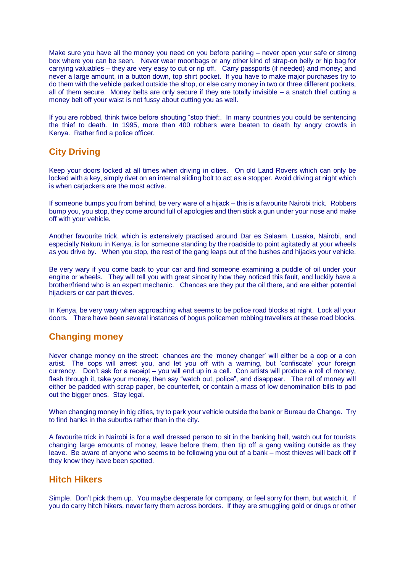Make sure you have all the money you need on you before parking – never open your safe or strong box where you can be seen. Never wear moonbags or any other kind of strap-on belly or hip bag for carrying valuables – they are very easy to cut or rip off. Carry passports (if needed) and money; and never a large amount, in a button down, top shirt pocket. If you have to make major purchases try to do them with the vehicle parked outside the shop, or else carry money in two or three different pockets, all of them secure. Money belts are only secure if they are totally invisible – a snatch thief cutting a money belt off your waist is not fussy about cutting you as well.

If you are robbed, think twice before shouting "stop thief:. In many countries you could be sentencing the thief to death. In 1995, more than 400 robbers were beaten to death by angry crowds in Kenya. Rather find a police officer.

# **City Driving**

Keep your doors locked at all times when driving in cities. On old Land Rovers which can only be locked with a key, simply rivet on an internal sliding bolt to act as a stopper. Avoid driving at night which is when carjackers are the most active.

If someone bumps you from behind, be very ware of a hijack – this is a favourite Nairobi trick. Robbers bump you, you stop, they come around full of apologies and then stick a gun under your nose and make off with your vehicle.

Another favourite trick, which is extensively practised around Dar es Salaam, Lusaka, Nairobi, and especially Nakuru in Kenya, is for someone standing by the roadside to point agitatedly at your wheels as you drive by. When you stop, the rest of the gang leaps out of the bushes and hijacks your vehicle.

Be very wary if you come back to your car and find someone examining a puddle of oil under your engine or wheels. They will tell you with great sincerity how they noticed this fault, and luckily have a brother/friend who is an expert mechanic. Chances are they put the oil there, and are either potential hijackers or car part thieves.

In Kenya, be very wary when approaching what seems to be police road blocks at night. Lock all your doors. There have been several instances of bogus policemen robbing travellers at these road blocks.

# **Changing money**

Never change money on the street: chances are the 'money changer' will either be a cop or a con artist. The cops will arrest you, and let you off with a warning, but 'confiscate' your foreign currency. Don't ask for a receipt – you will end up in a cell. Con artists will produce a roll of money, flash through it, take your money, then say "watch out, police", and disappear. The roll of money will either be padded with scrap paper, be counterfeit, or contain a mass of low denomination bills to pad out the bigger ones. Stay legal.

When changing money in big cities, try to park your vehicle outside the bank or Bureau de Change. Try to find banks in the suburbs rather than in the city.

A favourite trick in Nairobi is for a well dressed person to sit in the banking hall, watch out for tourists changing large amounts of money, leave before them, then tip off a gang waiting outside as they leave. Be aware of anyone who seems to be following you out of a bank – most thieves will back off if they know they have been spotted.

### **Hitch Hikers**

Simple. Don't pick them up. You maybe desperate for company, or feel sorry for them, but watch it. If you do carry hitch hikers, never ferry them across borders. If they are smuggling gold or drugs or other